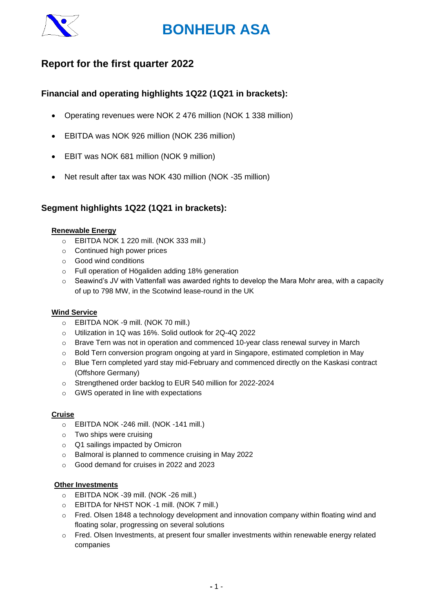

# **Report for the first quarter 2022**

# **Financial and operating highlights 1Q22 (1Q21 in brackets):**

- Operating revenues were NOK 2 476 million (NOK 1 338 million)
- EBITDA was NOK 926 million (NOK 236 million)
- EBIT was NOK 681 million (NOK 9 million)
- Net result after tax was NOK 430 million (NOK -35 million)

# **Segment highlights 1Q22 (1Q21 in brackets):**

### **Renewable Energy**

- o EBITDA NOK 1 220 mill. (NOK 333 mill.)
- o Continued high power prices
- o Good wind conditions
- o Full operation of Högaliden adding 18% generation
- $\circ$  Seawind's JV with Vattenfall was awarded rights to develop the Mara Mohr area, with a capacity of up to 798 MW, in the Scotwind lease-round in the UK

### **Wind Service**

- o EBITDA NOK -9 mill. (NOK 70 mill.)
- o Utilization in 1Q was 16%. Solid outlook for 2Q-4Q 2022
- $\circ$  Brave Tern was not in operation and commenced 10-year class renewal survey in March
- o Bold Tern conversion program ongoing at yard in Singapore, estimated completion in May
- $\circ$  Blue Tern completed yard stay mid-February and commenced directly on the Kaskasi contract (Offshore Germany)
- o Strengthened order backlog to EUR 540 million for 2022-2024
- o GWS operated in line with expectations

### **Cruise**

- o EBITDA NOK -246 mill. (NOK -141 mill.)
- o Two ships were cruising
- o Q1 sailings impacted by Omicron
- o Balmoral is planned to commence cruising in May 2022
- o Good demand for cruises in 2022 and 2023

### **Other Investments**

- o EBITDA NOK -39 mill. (NOK -26 mill.)
- o EBITDA for NHST NOK -1 mill. (NOK 7 mill.)
- $\circ$  Fred. Olsen 1848 a technology development and innovation company within floating wind and floating solar, progressing on several solutions
- $\circ$  Fred. Olsen Investments, at present four smaller investments within renewable energy related companies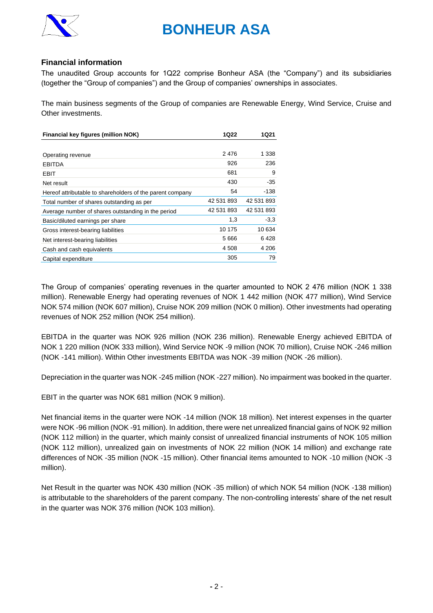

## **Financial information**

The unaudited Group accounts for 1Q22 comprise Bonheur ASA (the "Company") and its subsidiaries (together the "Group of companies") and the Group of companies' ownerships in associates.

The main business segments of the Group of companies are Renewable Energy, Wind Service, Cruise and Other investments.

| Financial key figures (million NOK)                       | 1Q22       | 1Q21       |
|-----------------------------------------------------------|------------|------------|
|                                                           |            |            |
| Operating revenue                                         | 2476       | 1 338      |
| <b>EBITDA</b>                                             | 926        | 236        |
| EBIT                                                      | 681        | 9          |
| Net result                                                | 430        | $-35$      |
| Hereof attributable to shareholders of the parent company | 54         | -138       |
| Total number of shares outstanding as per                 | 42 531 893 | 42 531 893 |
| Average number of shares outstanding in the period        | 42 531 893 | 42 531 893 |
| Basic/diluted earnings per share                          | 1,3        | $-3,3$     |
| Gross interest-bearing liabilities                        | 10 175     | 10 634     |
| Net interest-bearing liabilities                          | 5666       | 6428       |
| Cash and cash equivalents                                 | 4 508      | 4 206      |
| Capital expenditure                                       | 305        | 79         |

The Group of companies' operating revenues in the quarter amounted to NOK 2 476 million (NOK 1 338 million). Renewable Energy had operating revenues of NOK 1 442 million (NOK 477 million), Wind Service NOK 574 million (NOK 607 million), Cruise NOK 209 million (NOK 0 million). Other investments had operating revenues of NOK 252 million (NOK 254 million).

EBITDA in the quarter was NOK 926 million (NOK 236 million). Renewable Energy achieved EBITDA of NOK 1 220 million (NOK 333 million), Wind Service NOK -9 million (NOK 70 million), Cruise NOK -246 million (NOK -141 million). Within Other investments EBITDA was NOK -39 million (NOK -26 million).

Depreciation in the quarter was NOK -245 million (NOK -227 million). No impairment was booked in the quarter.

EBIT in the quarter was NOK 681 million (NOK 9 million).

Net financial items in the quarter were NOK -14 million (NOK 18 million). Net interest expenses in the quarter were NOK -96 million (NOK -91 million). In addition, there were net unrealized financial gains of NOK 92 million (NOK 112 million) in the quarter, which mainly consist of unrealized financial instruments of NOK 105 million (NOK 112 million), unrealized gain on investments of NOK 22 million (NOK 14 million) and exchange rate differences of NOK -35 million (NOK -15 million). Other financial items amounted to NOK -10 million (NOK -3 million).

Net Result in the quarter was NOK 430 million (NOK -35 million) of which NOK 54 million (NOK -138 million) is attributable to the shareholders of the parent company. The non-controlling interests' share of the net result in the quarter was NOK 376 million (NOK 103 million).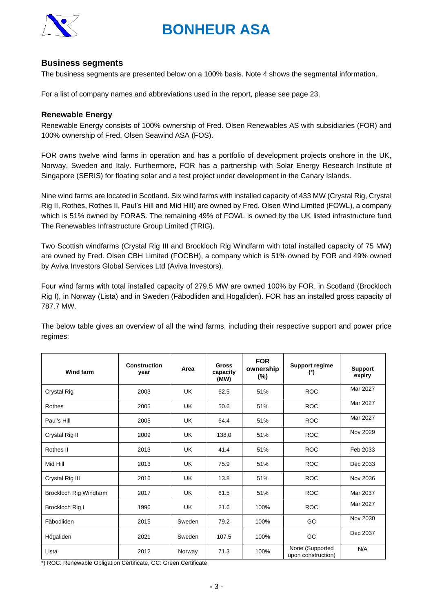

# **Business segments**

The business segments are presented below on a 100% basis. Note 4 shows the segmental information.

For a list of company names and abbreviations used in the report, please see page 23.

### **Renewable Energy**

Renewable Energy consists of 100% ownership of Fred. Olsen Renewables AS with subsidiaries (FOR) and 100% ownership of Fred. Olsen Seawind ASA (FOS).

FOR owns twelve wind farms in operation and has a portfolio of development projects onshore in the UK, Norway, Sweden and Italy. Furthermore, FOR has a partnership with Solar Energy Research Institute of Singapore (SERIS) for floating solar and a test project under development in the Canary Islands.

Nine wind farms are located in Scotland. Six wind farms with installed capacity of 433 MW (Crystal Rig, Crystal Rig II, Rothes, Rothes II, Paul's Hill and Mid Hill) are owned by Fred. Olsen Wind Limited (FOWL), a company which is 51% owned by FORAS. The remaining 49% of FOWL is owned by the UK listed infrastructure fund The Renewables Infrastructure Group Limited (TRIG).

Two Scottish windfarms (Crystal Rig III and Brockloch Rig Windfarm with total installed capacity of 75 MW) are owned by Fred. Olsen CBH Limited (FOCBH), a company which is 51% owned by FOR and 49% owned by Aviva Investors Global Services Ltd (Aviva Investors).

Four wind farms with total installed capacity of 279.5 MW are owned 100% by FOR, in Scotland (Brockloch Rig I), in Norway (Lista) and in Sweden (Fäbodliden and Högaliden). FOR has an installed gross capacity of 787.7 MW.

The below table gives an overview of all the wind farms, including their respective support and power price regimes:

| <b>Wind farm</b>       | <b>Construction</b><br>year | Area      | <b>Gross</b><br>capacity<br>(MW) | <b>FOR</b><br>ownership<br>$(\%)$ | <b>Support regime</b><br>(*)          | <b>Support</b><br>expiry |
|------------------------|-----------------------------|-----------|----------------------------------|-----------------------------------|---------------------------------------|--------------------------|
| Crystal Rig            | 2003                        | <b>UK</b> | 62.5                             | 51%                               | <b>ROC</b>                            | Mar 2027                 |
| Rothes                 | 2005                        | <b>UK</b> | 50.6                             | 51%                               | <b>ROC</b>                            | Mar 2027                 |
| Paul's Hill            | 2005                        | <b>UK</b> | 64.4                             | 51%                               | <b>ROC</b>                            | Mar 2027                 |
| Crystal Rig II         | 2009                        | <b>UK</b> | 138.0                            | 51%                               | <b>ROC</b>                            | Nov 2029                 |
| Rothes II              | 2013                        | <b>UK</b> | 41.4                             | 51%                               | <b>ROC</b>                            | Feb 2033                 |
| Mid Hill               | 2013                        | UK        | 75.9                             | 51%                               | <b>ROC</b>                            | Dec 2033                 |
| Crystal Rig III        | 2016                        | UK        | 13.8                             | 51%                               | <b>ROC</b>                            | Nov 2036                 |
| Brockloch Rig Windfarm | 2017                        | <b>UK</b> | 61.5                             | 51%                               | <b>ROC</b>                            | Mar 2037                 |
| Brockloch Rig I        | 1996                        | <b>UK</b> | 21.6                             | 100%                              | <b>ROC</b>                            | Mar 2027                 |
| Fäbodliden             | 2015                        | Sweden    | 79.2                             | 100%                              | GC                                    | Nov 2030                 |
| Högaliden              | 2021                        | Sweden    | 107.5                            | 100%                              | GC                                    | Dec 2037                 |
| Lista                  | 2012                        | Norway    | 71.3                             | 100%                              | None (Supported<br>upon construction) | N/A                      |

\*) ROC: Renewable Obligation Certificate, GC: Green Certificate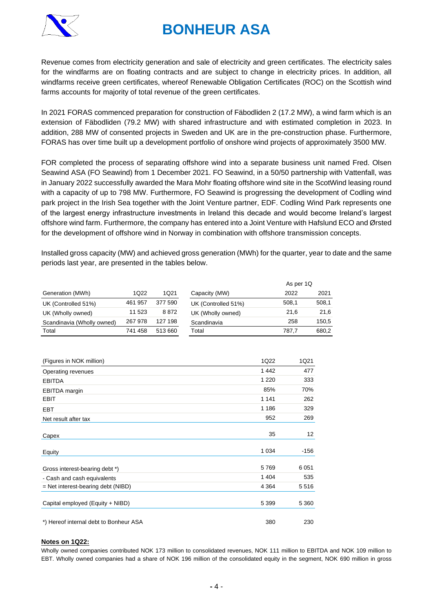

Revenue comes from electricity generation and sale of electricity and green certificates. The electricity sales for the windfarms are on floating contracts and are subject to change in electricity prices. In addition, all windfarms receive green certificates, whereof Renewable Obligation Certificates (ROC) on the Scottish wind farms accounts for majority of total revenue of the green certificates.

In 2021 FORAS commenced preparation for construction of Fäbodliden 2 (17.2 MW), a wind farm which is an extension of Fäbodliden (79.2 MW) with shared infrastructure and with estimated completion in 2023. In addition, 288 MW of consented projects in Sweden and UK are in the pre-construction phase. Furthermore, FORAS has over time built up a development portfolio of onshore wind projects of approximately 3500 MW.

FOR completed the process of separating offshore wind into a separate business unit named Fred. Olsen Seawind ASA (FO Seawind) from 1 December 2021. FO Seawind, in a 50/50 partnership with Vattenfall, was in January 2022 successfully awarded the Mara Mohr floating offshore wind site in the ScotWind leasing round with a capacity of up to 798 MW. Furthermore, FO Seawind is progressing the development of Codling wind park project in the Irish Sea together with the Joint Venture partner, EDF. Codling Wind Park represents one of the largest energy infrastructure investments in Ireland this decade and would become Ireland's largest offshore wind farm. Furthermore, the company has entered into a Joint Venture with Hafslund ECO and Ørsted for the development of offshore wind in Norway in combination with offshore transmission concepts.

Installed gross capacity (MW) and achieved gross generation (MWh) for the quarter, year to date and the same periods last year, are presented in the tables below.

|                            |         |         |                     | As per 1Q |       |
|----------------------------|---------|---------|---------------------|-----------|-------|
| Generation (MWh)           | 1Q22    | 1Q21    | Capacity (MW)       | 2022      | 2021  |
| UK (Controlled 51%)        | 461 957 | 377 590 | UK (Controlled 51%) | 508.1     | 508,1 |
| UK (Wholly owned)          | 11 523  | 8872    | UK (Wholly owned)   | 21.6      | 21.6  |
| Scandinavia (Wholly owned) | 267 978 | 127 198 | Scandinavia         | 258       | 150,5 |
| Total                      | 741 458 | 513 660 | Total               | 787.7     | 680,2 |

| (Figures in NOK million)               | 1Q22    | 1Q21    |
|----------------------------------------|---------|---------|
| Operating revenues                     | 1442    | 477     |
| <b>EBITDA</b>                          | 1 2 2 0 | 333     |
| <b>EBITDA</b> margin                   | 85%     | 70%     |
| <b>EBIT</b>                            | 1 1 4 1 | 262     |
| <b>EBT</b>                             | 1 1 8 6 | 329     |
| Net result after tax                   | 952     | 269     |
| Capex                                  | 35      | 12      |
| Equity                                 | 1 0 3 4 | -156    |
| Gross interest-bearing debt *)         | 5769    | 6051    |
| - Cash and cash equivalents            | 1 4 0 4 | 535     |
| $=$ Net interest-bearing debt (NIBD)   | 4 3 6 4 | 5516    |
| Capital employed (Equity + NIBD)       | 5 3 9 9 | 5 3 6 0 |
| *) Hereof internal debt to Bonheur ASA | 380     | 230     |

#### **Notes on 1Q22:**

Wholly owned companies contributed NOK 173 million to consolidated revenues, NOK 111 million to EBITDA and NOK 109 million to EBT. Wholly owned companies had a share of NOK 196 million of the consolidated equity in the segment, NOK 690 million in gross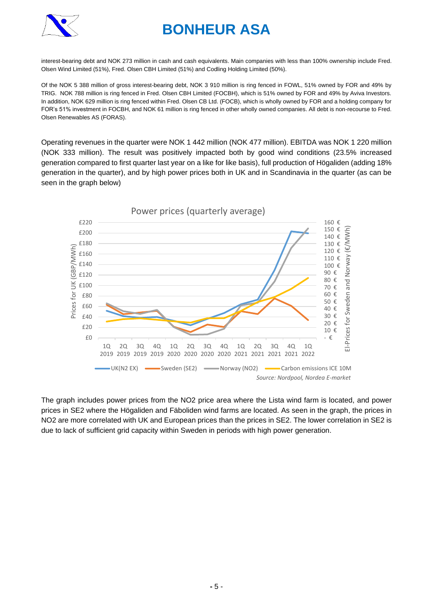

interest-bearing debt and NOK 273 million in cash and cash equivalents. Main companies with less than 100% ownership include Fred. Olsen Wind Limited (51%), Fred. Olsen CBH Limited (51%) and Codling Holding Limited (50%).

Of the NOK 5 388 million of gross interest-bearing debt, NOK 3 910 million is ring fenced in FOWL, 51% owned by FOR and 49% by TRIG. NOK 788 million is ring fenced in Fred. Olsen CBH Limited (FOCBH), which is 51% owned by FOR and 49% by Aviva Investors. In addition, NOK 629 million is ring fenced within Fred. Olsen CB Ltd. (FOCB), which is wholly owned by FOR and a holding company for FOR's 51% investment in FOCBH, and NOK 61 million is ring fenced in other wholly owned companies. All debt is non-recourse to Fred. Olsen Renewables AS (FORAS).

Operating revenues in the quarter were NOK 1 442 million (NOK 477 million). EBITDA was NOK 1 220 million (NOK 333 million). The result was positively impacted both by good wind conditions (23.5% increased generation compared to first quarter last year on a like for like basis), full production of Högaliden (adding 18% generation in the quarter), and by high power prices both in UK and in Scandinavia in the quarter (as can be seen in the graph below)



The graph includes power prices from the NO2 price area where the Lista wind farm is located, and power prices in SE2 where the Högaliden and Fäboliden wind farms are located. As seen in the graph, the prices in NO2 are more correlated with UK and European prices than the prices in SE2. The lower correlation in SE2 is due to lack of sufficient grid capacity within Sweden in periods with high power generation.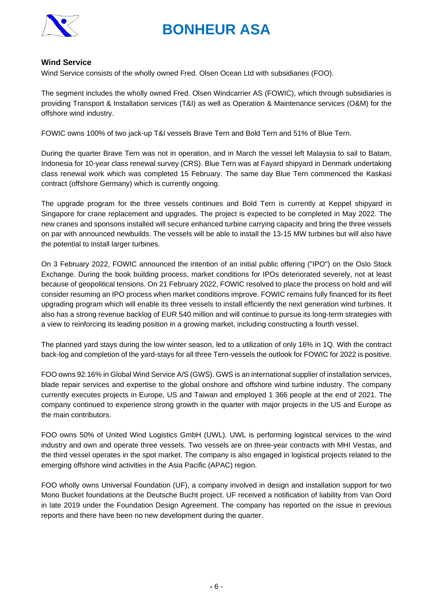

## **Wind Service**

Wind Service consists of the wholly owned Fred. Olsen Ocean Ltd with subsidiaries (FOO).

The segment includes the wholly owned Fred. Olsen Windcarrier AS (FOWIC), which through subsidiaries is providing Transport & Installation services (T&I) as well as Operation & Maintenance services (O&M) for the offshore wind industry.

FOWIC owns 100% of two jack-up T&I vessels Brave Tern and Bold Tern and 51% of Blue Tern.

During the quarter Brave Tern was not in operation, and in March the vessel left Malaysia to sail to Batam, Indonesia for 10-year class renewal survey (CRS). Blue Tern was at Fayard shipyard in Denmark undertaking class renewal work which was completed 15 February. The same day Blue Tern commenced the Kaskasi contract (offshore Germany) which is currently ongoing.

The upgrade program for the three vessels continues and Bold Tern is currently at Keppel shipyard in Singapore for crane replacement and upgrades. The project is expected to be completed in May 2022. The new cranes and sponsons installed will secure enhanced turbine carrying capacity and bring the three vessels on par with announced newbuilds. The vessels will be able to install the 13-15 MW turbines but will also have the potential to install larger turbines.

On 3 February 2022, FOWIC announced the intention of an initial public offering ("IPO") on the Oslo Stock Exchange. During the book building process, market conditions for IPOs deteriorated severely, not at least because of geopolitical tensions. On 21 February 2022, FOWIC resolved to place the process on hold and will consider resuming an IPO process when market conditions improve. FOWIC remains fully financed for its fleet upgrading program which will enable its three vessels to install efficiently the next generation wind turbines. It also has a strong revenue backlog of EUR 540 million and will continue to pursue its long-term strategies with a view to reinforcing its leading position in a growing market, including constructing a fourth vessel.

The planned yard stays during the low winter season, led to a utilization of only 16% in 1Q. With the contract back-log and completion of the yard-stays for all three Tern-vessels the outlook for FOWIC for 2022 is positive.

FOO owns 92.16% in Global Wind Service A/S (GWS). GWS is an international supplier of installation services, blade repair services and expertise to the global onshore and offshore wind turbine industry. The company currently executes projects in Europe, US and Taiwan and employed 1 366 people at the end of 2021. The company continued to experience strong growth in the quarter with major projects in the US and Europe as the main contributors.

FOO owns 50% of United Wind Logistics GmbH (UWL). UWL is performing logistical services to the wind industry and own and operate three vessels. Two vessels are on three-year contracts with MHI Vestas, and the third vessel operates in the spot market. The company is also engaged in logistical projects related to the emerging offshore wind activities in the Asia Pacific (APAC) region.

FOO wholly owns Universal Foundation (UF), a company involved in design and installation support for two Mono Bucket foundations at the Deutsche Bucht project. UF received a notification of liability from Van Oord in late 2019 under the Foundation Design Agreement. The company has reported on the issue in previous reports and there have been no new development during the quarter.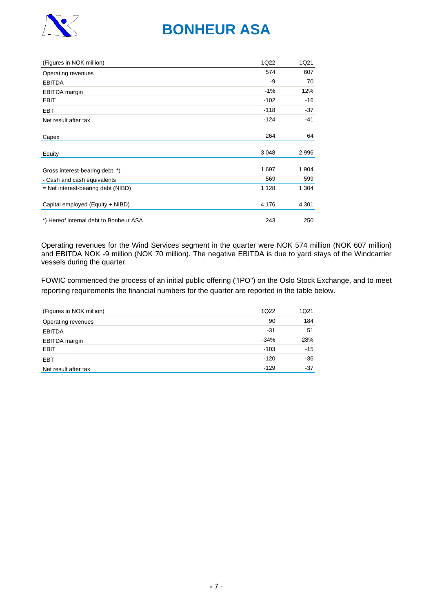

| (Figures in NOK million)               | 1Q22    | 1Q21    |
|----------------------------------------|---------|---------|
| Operating revenues                     | 574     | 607     |
| <b>EBITDA</b>                          | -9      | 70      |
| EBITDA margin                          | $-1%$   | 12%     |
| <b>EBIT</b>                            | $-102$  | -16     |
| <b>EBT</b>                             | $-118$  | -37     |
| Net result after tax                   | $-124$  | -41     |
| Capex                                  | 264     | 64      |
| Equity                                 | 3048    | 2996    |
| Gross interest-bearing debt *)         | 1697    | 1 904   |
| - Cash and cash equivalents            | 569     | 599     |
| $=$ Net interest-bearing debt (NIBD)   | 1 1 2 8 | 1 304   |
| Capital employed (Equity + NIBD)       | 4 1 7 6 | 4 3 0 1 |
| *) Hereof internal debt to Bonheur ASA | 243     | 250     |

Operating revenues for the Wind Services segment in the quarter were NOK 574 million (NOK 607 million) and EBITDA NOK -9 million (NOK 70 million). The negative EBITDA is due to yard stays of the Windcarrier vessels during the quarter.

FOWIC commenced the process of an initial public offering ("IPO") on the Oslo Stock Exchange, and to meet reporting requirements the financial numbers for the quarter are reported in the table below.

| (Figures in NOK million) | 1Q22   | 1Q21  |
|--------------------------|--------|-------|
| Operating revenues       | 90     | 184   |
| <b>EBITDA</b>            | $-31$  | 51    |
| <b>EBITDA</b> margin     | $-34%$ | 28%   |
| <b>EBIT</b>              | $-103$ | $-15$ |
| <b>EBT</b>               | $-120$ | $-36$ |
| Net result after tax     | $-129$ | $-37$ |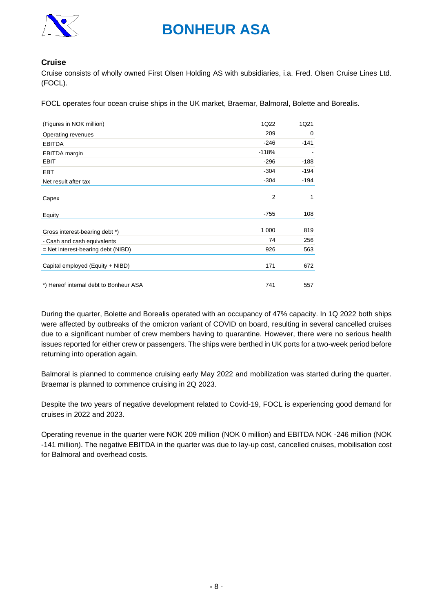

# **Cruise**

Cruise consists of wholly owned First Olsen Holding AS with subsidiaries, i.a. Fred. Olsen Cruise Lines Ltd. (FOCL).

FOCL operates four ocean cruise ships in the UK market, Braemar, Balmoral, Bolette and Borealis.

| (Figures in NOK million)               | 1Q22    | 1Q21   |
|----------------------------------------|---------|--------|
| Operating revenues                     | 209     | 0      |
| <b>EBITDA</b>                          | $-246$  | $-141$ |
| <b>EBITDA</b> margin                   | $-118%$ |        |
| <b>EBIT</b>                            | $-296$  | $-188$ |
| <b>EBT</b>                             | $-304$  | $-194$ |
| Net result after tax                   | $-304$  | $-194$ |
|                                        |         |        |
| Capex                                  | 2       | 1      |
| Equity                                 | $-755$  | 108    |
| Gross interest-bearing debt *)         | 1 0 0 0 | 819    |
| - Cash and cash equivalents            | 74      | 256    |
| $=$ Net interest-bearing debt (NIBD)   | 926     | 563    |
| Capital employed (Equity + NIBD)       | 171     | 672    |
| *) Hereof internal debt to Bonheur ASA | 741     | 557    |

During the quarter, Bolette and Borealis operated with an occupancy of 47% capacity. In 1Q 2022 both ships were affected by outbreaks of the omicron variant of COVID on board, resulting in several cancelled cruises due to a significant number of crew members having to quarantine. However, there were no serious health issues reported for either crew or passengers. The ships were berthed in UK ports for a two-week period before returning into operation again.

Balmoral is planned to commence cruising early May 2022 and mobilization was started during the quarter. Braemar is planned to commence cruising in 2Q 2023.

Despite the two years of negative development related to Covid-19, FOCL is experiencing good demand for cruises in 2022 and 2023.

Operating revenue in the quarter were NOK 209 million (NOK 0 million) and EBITDA NOK -246 million (NOK -141 million). The negative EBITDA in the quarter was due to lay-up cost, cancelled cruises, mobilisation cost for Balmoral and overhead costs.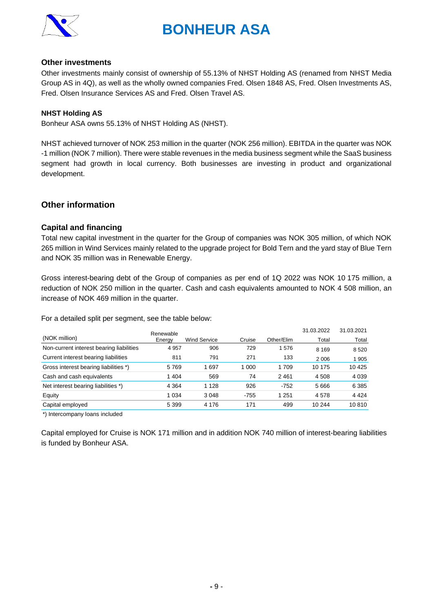

### **Other investments**

Other investments mainly consist of ownership of 55.13% of NHST Holding AS (renamed from NHST Media Group AS in 4Q), as well as the wholly owned companies Fred. Olsen 1848 AS, Fred. Olsen Investments AS, Fred. Olsen Insurance Services AS and Fred. Olsen Travel AS.

### **NHST Holding AS**

Bonheur ASA owns 55.13% of NHST Holding AS (NHST).

NHST achieved turnover of NOK 253 million in the quarter (NOK 256 million). EBITDA in the quarter was NOK -1 million (NOK 7 million). There were stable revenues in the media business segment while the SaaS business segment had growth in local currency. Both businesses are investing in product and organizational development.

# **Other information**

### **Capital and financing**

Total new capital investment in the quarter for the Group of companies was NOK 305 million, of which NOK 265 million in Wind Services mainly related to the upgrade project for Bold Tern and the yard stay of Blue Tern and NOK 35 million was in Renewable Energy.

Gross interest-bearing debt of the Group of companies as per end of 1Q 2022 was NOK 10 175 million, a reduction of NOK 250 million in the quarter. Cash and cash equivalents amounted to NOK 4 508 million, an increase of NOK 469 million in the quarter.

For a detailed split per segment, see the table below:

|                                          | Renewable |                     |         |            | 31.03.2022 | 31.03.2021 |
|------------------------------------------|-----------|---------------------|---------|------------|------------|------------|
| (NOK million)                            | Energy    | <b>Wind Service</b> | Cruise  | Other/Elim | Total      | Total      |
| Non-current interest bearing liabilities | 4 9 5 7   | 906                 | 729     | 1576       | 8 1 6 9    | 8 5 20     |
| Current interest bearing liabilities     | 811       | 791                 | 271     | 133        | 2 0 0 6    | 905        |
| Gross interest bearing liabilities *)    | 5769      | 697                 | 1 0 0 0 | 1 709      | 10 175     | 10 4 25    |
| Cash and cash equivalents                | 1 4 0 4   | 569                 | 74      | 2461       | 4 5 0 8    | 4 0 3 9    |
| Net interest bearing liabilities *)      | 4 3 6 4   | 1 1 2 8             | 926     | $-752$     | 5 6 6 6    | 6 3 8 5    |
| Equity                                   | 1 0 3 4   | 3 0 4 8             | $-755$  | 1 2 5 1    | 4578       | 4 4 2 4    |
| Capital employed                         | 5 3 9 9   | 4 1 7 6             | 171     | 499        | 10 244     | 10810      |

\*) Intercompany loans included

Capital employed for Cruise is NOK 171 million and in addition NOK 740 million of interest-bearing liabilities is funded by Bonheur ASA.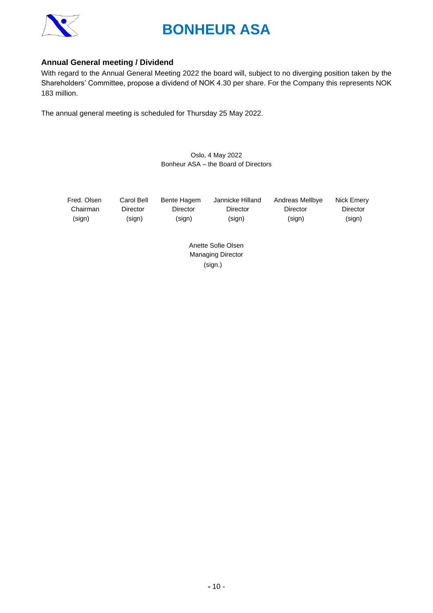

# **Annual General meeting / Dividend**

With regard to the Annual General Meeting 2022 the board will, subject to no diverging position taken by the Shareholders' Committee, propose a dividend of NOK 4.30 per share. For the Company this represents NOK 183 million.

The annual general meeting is scheduled for Thursday 25 May 2022.

### Oslo, 4 May 2022 Bonheur ASA – the Board of Directors

Fred. Olsen Carol Bell Bente Hagem Jannicke Hilland Andreas Mellbye Nick Emery

 Chairman Director Director Director Director Director (sign) (sign) (sign) (sign) (sign) (sign)

Anette Sofie Olsen Managing Director (sign.)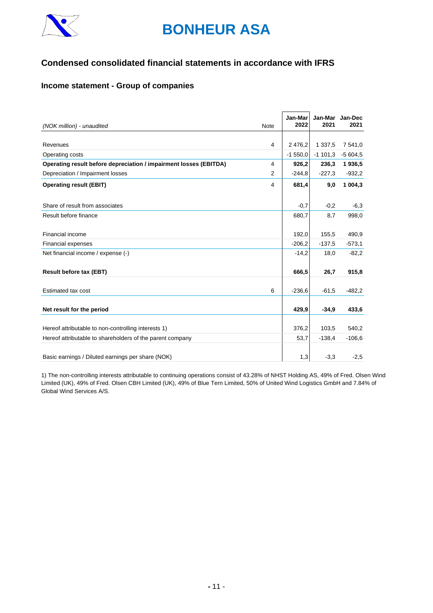

# **Condensed consolidated financial statements in accordance with IFRS**

# **Income statement - Group of companies**

| (NOK million) - unaudited                                         | <b>Note</b> | Jan-Mar<br>2022 | 2021       | Jan-Mar Jan-Dec<br>2021 |
|-------------------------------------------------------------------|-------------|-----------------|------------|-------------------------|
|                                                                   |             |                 |            |                         |
| Revenues                                                          | 4           | 2 476,2         | 1 3 3 7, 5 | 7 541,0                 |
| Operating costs                                                   |             | $-1,550,0$      | $-1$ 101,3 | $-5604,5$               |
| Operating result before depreciation / impairment losses (EBITDA) | 4           | 926,2           | 236,3      | 1936,5                  |
| Depreciation / Impairment losses                                  | 2           | $-244.8$        | $-227.3$   | $-932,2$                |
| <b>Operating result (EBIT)</b>                                    | 4           | 681,4           | 9,0        | 1 004,3                 |
| Share of result from associates                                   |             | $-0,7$          | $-0.2$     | $-6,3$                  |
| Result before finance                                             |             | 680,7           | 8,7        | 998,0                   |
| Financial income                                                  |             | 192,0           | 155,5      | 490,9                   |
| <b>Financial expenses</b>                                         |             | $-206,2$        | $-137,5$   | $-573,1$                |
| Net financial income / expense (-)                                |             | $-14,2$         | 18,0       | $-82,2$                 |
| <b>Result before tax (EBT)</b>                                    |             | 666,5           | 26,7       | 915,8                   |
| Estimated tax cost                                                | 6           | $-236,6$        | $-61,5$    | $-482,2$                |
| Net result for the period                                         |             | 429.9           | $-34.9$    | 433,6                   |
| Hereof attributable to non-controlling interests 1)               |             | 376,2           | 103,5      | 540,2                   |
| Hereof attributable to shareholders of the parent company         |             | 53,7            | $-138.4$   | $-106.6$                |
| Basic earnings / Diluted earnings per share (NOK)                 |             | 1,3             | $-3,3$     | $-2,5$                  |

1) The non-controlling interests attributable to continuing operations consist of 43.28% of NHST Holding AS, 49% of Fred. Olsen Wind Limited (UK), 49% of Fred. Olsen CBH Limited (UK), 49% of Blue Tern Limited, 50% of United Wind Logistics GmbH and 7.84% of Global Wind Services A/S.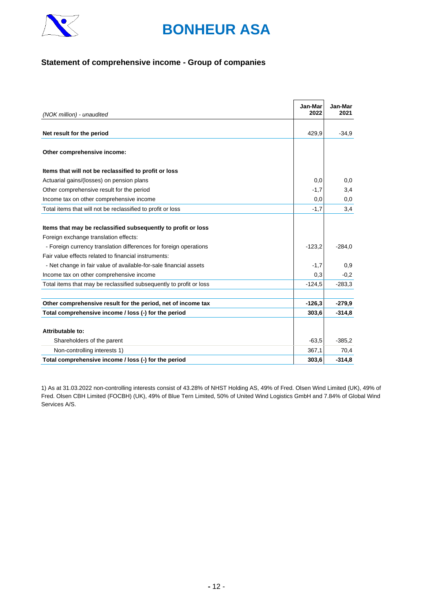

# **Statement of comprehensive income - Group of companies**

| (NOK million) - unaudited                                           | Jan-Mar<br>2022 | Jan-Mar<br>2021 |
|---------------------------------------------------------------------|-----------------|-----------------|
|                                                                     |                 |                 |
| Net result for the period                                           | 429,9           | $-34.9$         |
| Other comprehensive income:                                         |                 |                 |
| Items that will not be reclassified to profit or loss               |                 |                 |
| Actuarial gains/(losses) on pension plans                           | 0.0             | 0,0             |
| Other comprehensive result for the period                           | $-1,7$          | 3,4             |
| Income tax on other comprehensive income                            | 0.0             | 0,0             |
| Total items that will not be reclassified to profit or loss         | $-1,7$          | 3,4             |
| Items that may be reclassified subsequently to profit or loss       |                 |                 |
| Foreign exchange translation effects:                               |                 |                 |
| - Foreign currency translation differences for foreign operations   | $-123,2$        | $-284.0$        |
| Fair value effects related to financial instruments:                |                 |                 |
| - Net change in fair value of available-for-sale financial assets   | $-1,7$          | 0,9             |
| Income tax on other comprehensive income                            | 0,3             | $-0,2$          |
| Total items that may be reclassified subsequently to profit or loss | $-124.5$        | $-283.3$        |
| Other comprehensive result for the period, net of income tax        | $-126,3$        | $-279,9$        |
| Total comprehensive income / loss (-) for the period                | 303,6           | $-314.8$        |
|                                                                     |                 |                 |
| Attributable to:                                                    |                 |                 |
| Shareholders of the parent                                          | $-63,5$         | $-385.2$        |
| Non-controlling interests 1)                                        | 367,1           | 70,4            |
| Total comprehensive income / loss (-) for the period                | 303,6           | $-314.8$        |

1) As at 31.03.2022 non-controlling interests consist of 43.28% of NHST Holding AS, 49% of Fred. Olsen Wind Limited (UK), 49% of Fred. Olsen CBH Limited (FOCBH) (UK), 49% of Blue Tern Limited, 50% of United Wind Logistics GmbH and 7.84% of Global Wind Services A/S.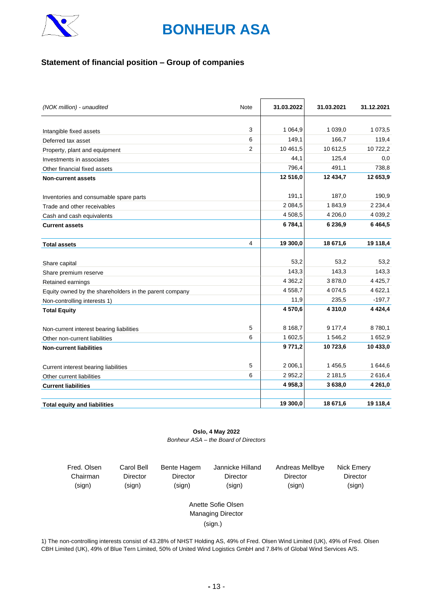

# **Statement of financial position – Group of companies**

| (NOK million) - unaudited                              | Note | 31.03.2022  | 31.03.2021  | 31.12.2021  |
|--------------------------------------------------------|------|-------------|-------------|-------------|
|                                                        |      |             |             |             |
| Intangible fixed assets                                | 3    | 1 0 64,9    | 1 0 3 9 , 0 | 1 0 7 3 , 5 |
| Deferred tax asset                                     | 6    | 149,1       | 166,7       | 119,4       |
| Property, plant and equipment                          | 2    | 10 461,5    | 10 612,5    | 10 722,2    |
| Investments in associates                              |      | 44,1        | 125,4       | 0,0         |
| Other financial fixed assets                           |      | 796,4       | 491,1       | 738,8       |
| <b>Non-current assets</b>                              |      | 12 516,0    | 12 434,7    | 12 653,9    |
| Inventories and consumable spare parts                 |      | 191,1       | 187,0       | 190,9       |
| Trade and other receivables                            |      | 2 0 8 4, 5  | 1843,9      | 2 2 3 4, 4  |
| Cash and cash equivalents                              |      | 4 508,5     | 4 206,0     | 4 0 39,2    |
| <b>Current assets</b>                                  |      | 6 784,1     | 6 236,9     | 6464,5      |
| <b>Total assets</b>                                    | 4    | 19 300,0    | 18 671,6    | 19 118,4    |
|                                                        |      |             |             |             |
| Share capital                                          |      | 53,2        | 53,2        | 53,2        |
| Share premium reserve                                  |      | 143,3       | 143.3       | 143,3       |
| Retained earnings                                      |      | 4 3 6 2 , 2 | 3878,0      | 4 4 2 5, 7  |
| Equity owned by the shareholders in the parent company |      | 4 5 5 8 , 7 | 4 0 74,5    | 4 622,1     |
| Non-controlling interests 1)                           |      | 11,9        | 235.5       | $-197,7$    |
| <b>Total Equity</b>                                    |      | 4570,6      | 4 3 1 0 , 0 | 4 4 24,4    |
| Non-current interest bearing liabilities               | 5    | 8 1 68,7    | 9 177,4     | 8780,1      |
| Other non-current liabilities                          | 6    | 1 602,5     | 1 546,2     | 1652,9      |
| <b>Non-current liabilities</b>                         |      | 9771,2      | 10723,6     | 10 433,0    |
| Current interest bearing liabilities                   | 5    | 2 006,1     | 1 456,5     | 1 644,6     |
| Other current liabilities                              | 6    | 2 9 5 2, 2  | 2 181,5     | 2616,4      |
| <b>Current liabilities</b>                             |      | 4 958,3     | 3638,0      | 4 2 6 1 , 0 |
| <b>Total equity and liabilities</b>                    |      | 19 300,0    | 18 671,6    | 19 118,4    |

**Oslo, 4 May 2022** *Bonheur ASA – the Board of Directors*

| Fred. Olsen | Carol Bell      | Bente Hagem     | Jannicke Hilland         | Andreas Mellbye | Nick Emery      |
|-------------|-----------------|-----------------|--------------------------|-----------------|-----------------|
| Chairman    | <b>Director</b> | <b>Director</b> | Director                 | <b>Director</b> | <b>Director</b> |
| (sign)      | (sign)          | (sign)          | (sign)                   | (sign)          | (sign)          |
|             |                 |                 |                          |                 |                 |
|             |                 |                 | Anette Sofie Olsen       |                 |                 |
|             |                 |                 | <b>Managing Director</b> |                 |                 |
|             |                 |                 | (sign.)                  |                 |                 |
|             |                 |                 |                          |                 |                 |

1) The non-controlling interests consist of 43.28% of NHST Holding AS, 49% of Fred. Olsen Wind Limited (UK), 49% of Fred. Olsen CBH Limited (UK), 49% of Blue Tern Limited, 50% of United Wind Logistics GmbH and 7.84% of Global Wind Services A/S.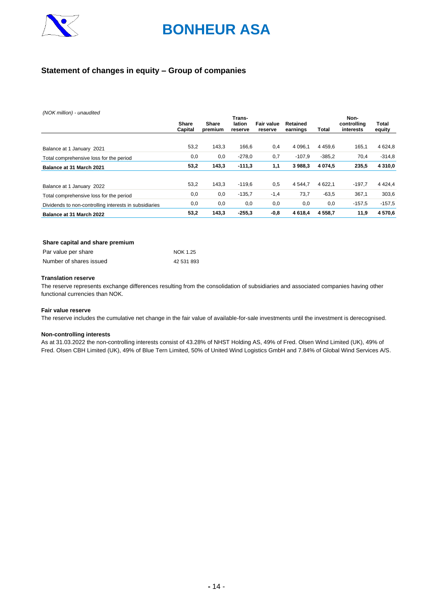

# **Statement of changes in equity – Group of companies**

*(NOK million) - unaudited*

|                                                        |                         |                  | Trans-            |                              |                      |           | Non-                     |                        |
|--------------------------------------------------------|-------------------------|------------------|-------------------|------------------------------|----------------------|-----------|--------------------------|------------------------|
|                                                        | <b>Share</b><br>Capital | Share<br>premium | lation<br>reserve | <b>Fair value</b><br>reserve | Retained<br>earnings | Total     | controlling<br>interests | <b>Total</b><br>equity |
|                                                        |                         |                  |                   |                              |                      |           |                          |                        |
| Balance at 1 January 2021                              | 53,2                    | 143,3            | 166,6             | 0,4                          | 4 0 9 6.1            | 4 4 5 9.6 | 165,1                    | 4 6 24, 8              |
| Total comprehensive loss for the period                | 0,0                     | 0,0              | $-278,0$          | 0,7                          | $-107.9$             | $-385,2$  | 70,4                     | $-314.8$               |
| Balance at 31 March 2021                               | 53,2                    | 143,3            | $-111,3$          | 1,1                          | 3 988,3              | 4 0 74.5  | 235,5                    | 4 3 1 0 , 0            |
| Balance at 1 January 2022                              | 53.2                    | 143,3            | $-119.6$          | 0,5                          | 4 5 4 4 .7           | 4 6 22.1  | $-197,7$                 | 4 4 2 4 .4             |
| Total comprehensive loss for the period                | 0,0                     | 0,0              | $-135,7$          | $-1,4$                       | 73,7                 | $-63,5$   | 367,1                    | 303,6                  |
| Dividends to non-controlling interests in subsidiaries | 0,0                     | 0,0              | 0,0               | 0,0                          | 0,0                  | 0,0       | $-157.5$                 | $-157.5$               |
| Balance at 31 March 2022                               | 53,2                    | 143,3            | $-255,3$          | $-0,8$                       | 4 6 18,4             | 4 5 5 8.7 | 11,9                     | 4570.6                 |

#### **Share capital and share premium**

| Par value per share     | NOK 1.25   |
|-------------------------|------------|
| Number of shares issued | 42 531 893 |

#### **Translation reserve**

The reserve represents exchange differences resulting from the consolidation of subsidiaries and associated companies having other functional currencies than NOK.

#### **Fair value reserve**

The reserve includes the cumulative net change in the fair value of available-for-sale investments until the investment is derecognised.

#### **Non-controlling interests**

As at 31.03.2022 the non-controlling interests consist of 43.28% of NHST Holding AS, 49% of Fred. Olsen Wind Limited (UK), 49% of Fred. Olsen CBH Limited (UK), 49% of Blue Tern Limited, 50% of United Wind Logistics GmbH and 7.84% of Global Wind Services A/S.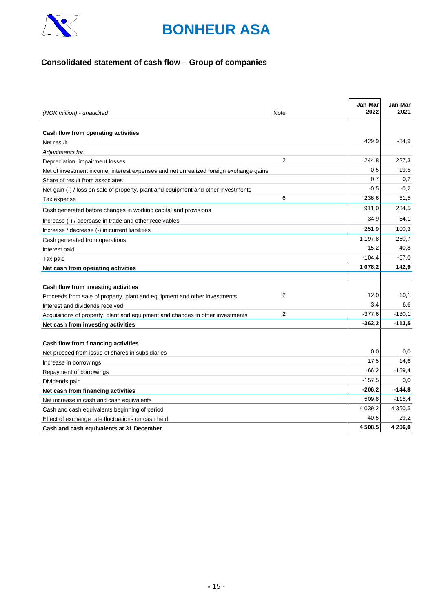

# **Consolidated statement of cash flow – Group of companies**

| (NOK million) - unaudited                                                             | Note | Jan-Mar<br>2022 | Jan-Mar<br>2021 |
|---------------------------------------------------------------------------------------|------|-----------------|-----------------|
|                                                                                       |      |                 |                 |
| Cash flow from operating activities                                                   |      |                 |                 |
| Net result                                                                            |      | 429.9           | $-34,9$         |
| Adjustments for:                                                                      |      |                 |                 |
| Depreciation, impairment losses                                                       | 2    | 244,8           | 227,3           |
| Net of investment income, interest expenses and net unrealized foreign exchange gains |      | $-0.5$          | $-19.5$         |
| Share of result from associates                                                       |      | 0,7             | 0,2             |
| Net gain (-) / loss on sale of property, plant and equipment and other investments    |      | $-0,5$          | $-0,2$          |
| Tax expense                                                                           | 6    | 236,6           | 61,5            |
| Cash generated before changes in working capital and provisions                       |      | 911,0           | 234,5           |
| Increase (-) / decrease in trade and other receivables                                |      | 34,9            | $-84.1$         |
| Increase / decrease (-) in current liabilities                                        |      | 251,9           | 100,3           |
| Cash generated from operations                                                        |      | 1 197,8         | 250,7           |
| Interest paid                                                                         |      | $-15,2$         | $-40,8$         |
| Tax paid                                                                              |      | $-104,4$        | $-67.0$         |
| Net cash from operating activities                                                    |      | 1 078,2         | 142,9           |
|                                                                                       |      |                 |                 |
| Cash flow from investing activities                                                   |      |                 |                 |
| Proceeds from sale of property, plant and equipment and other investments             | 2    | 12,0            | 10,1            |
| Interest and dividends received                                                       |      | 3,4             | 6,6             |
| Acquisitions of property, plant and equipment and changes in other investments        | 2    | $-377,6$        | $-130,1$        |
| Net cash from investing activities                                                    |      | $-362,2$        | $-113,5$        |
|                                                                                       |      |                 |                 |
| Cash flow from financing activities                                                   |      |                 |                 |
| Net proceed from issue of shares in subsidiaries                                      |      | 0,0             | 0,0             |
| Increase in borrowings                                                                |      | 17,5            | 14,6            |
| Repayment of borrowings                                                               |      | $-66,2$         | $-159,4$        |
| Dividends paid                                                                        |      | $-157.5$        | 0,0             |
| Net cash from financing activities                                                    |      | $-206,2$        | $-144.8$        |
| Net increase in cash and cash equivalents                                             |      | 509,8           | $-115,4$        |
| Cash and cash equivalents beginning of period                                         |      | 4 0 3 9, 2      | 4 3 5 0 , 5     |
| Effect of exchange rate fluctuations on cash held                                     |      | $-40,5$         | $-29.2$         |
| Cash and cash equivalents at 31 December                                              |      | 4508,5          | 4 206,0         |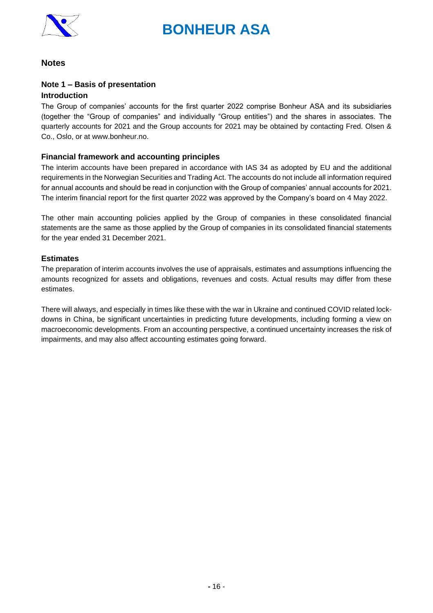

# **Notes**

## **Note 1 – Basis of presentation Introduction**

The Group of companies' accounts for the first quarter 2022 comprise Bonheur ASA and its subsidiaries (together the "Group of companies" and individually "Group entities") and the shares in associates. The quarterly accounts for 2021 and the Group accounts for 2021 may be obtained by contacting Fred. Olsen & Co., Oslo, or at www.bonheur.no.

# **Financial framework and accounting principles**

The interim accounts have been prepared in accordance with IAS 34 as adopted by EU and the additional requirements in the Norwegian Securities and Trading Act. The accounts do not include all information required for annual accounts and should be read in conjunction with the Group of companies' annual accounts for 2021. The interim financial report for the first quarter 2022 was approved by the Company's board on 4 May 2022.

The other main accounting policies applied by the Group of companies in these consolidated financial statements are the same as those applied by the Group of companies in its consolidated financial statements for the year ended 31 December 2021.

## **Estimates**

The preparation of interim accounts involves the use of appraisals, estimates and assumptions influencing the amounts recognized for assets and obligations, revenues and costs. Actual results may differ from these estimates.

There will always, and especially in times like these with the war in Ukraine and continued COVID related lockdowns in China, be significant uncertainties in predicting future developments, including forming a view on macroeconomic developments. From an accounting perspective, a continued uncertainty increases the risk of impairments, and may also affect accounting estimates going forward.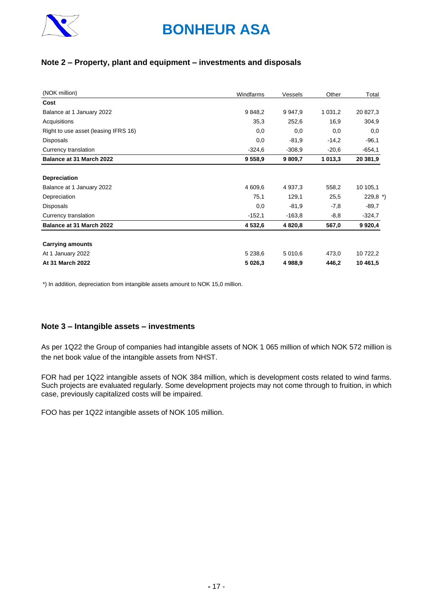

# **Note 2 – Property, plant and equipment – investments and disposals**

| (NOK million)                        | Windfarms | Vessels     | Other       | Total      |
|--------------------------------------|-----------|-------------|-------------|------------|
| Cost                                 |           |             |             |            |
| Balance at 1 January 2022            | 9 848,2   | 9 9 4 7 , 9 | 1 0 3 1 , 2 | 20 827,3   |
| Acquisitions                         | 35,3      | 252,6       | 16,9        | 304,9      |
| Right to use asset (leasing IFRS 16) | 0,0       | 0,0         | 0,0         | 0,0        |
| <b>Disposals</b>                     | 0,0       | $-81.9$     | $-14,2$     | $-96,1$    |
| Currency translation                 | $-324.6$  | $-308.9$    | $-20,6$     | $-654.1$   |
| Balance at 31 March 2022             | 9 5 5 8 9 | 9 809,7     | 1 013,3     | 20 381,9   |
|                                      |           |             |             |            |
| <b>Depreciation</b>                  |           |             |             |            |
| Balance at 1 January 2022            | 4 609,6   | 4 9 37, 3   | 558,2       | 10 105,1   |
| Depreciation                         | 75,1      | 129,1       | 25,5        | $229,8$ *) |
| <b>Disposals</b>                     | 0,0       | $-81,9$     | $-7,8$      | $-89.7$    |
| Currency translation                 | $-152,1$  | $-163.8$    | $-8,8$      | $-324,7$   |
| Balance at 31 March 2022             | 4 532,6   | 4 8 20,8    | 567,0       | 9 9 20,4   |
| <b>Carrying amounts</b>              |           |             |             |            |
| At 1 January 2022                    | 5 2 38,6  | 5 010,6     | 473,0       | 10 722,2   |
| At 31 March 2022                     | 5 0 26,3  | 4 988,9     | 446,2       | 10 461,5   |

\*) In addition, depreciation from intangible assets amount to NOK 15,0 million.

### **Note 3 – Intangible assets – investments**

As per 1Q22 the Group of companies had intangible assets of NOK 1 065 million of which NOK 572 million is the net book value of the intangible assets from NHST.

FOR had per 1Q22 intangible assets of NOK 384 million, which is development costs related to wind farms. Such projects are evaluated regularly. Some development projects may not come through to fruition, in which case, previously capitalized costs will be impaired.

FOO has per 1Q22 intangible assets of NOK 105 million.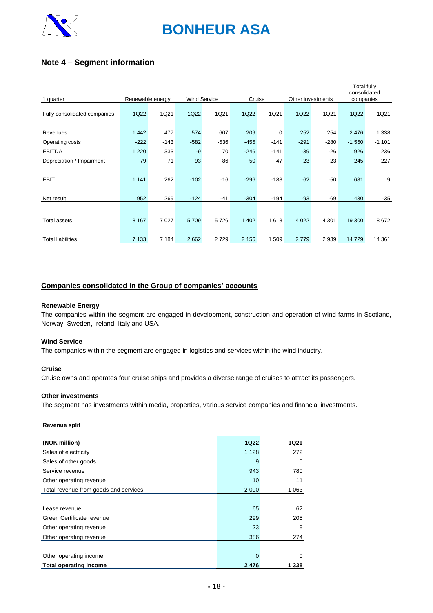

# **Note 4 – Segment information**

|                              |                  |         |                     |        |         |             |                   |         | <b>Total fully</b><br>consolidated |         |
|------------------------------|------------------|---------|---------------------|--------|---------|-------------|-------------------|---------|------------------------------------|---------|
| 1 quarter                    | Renewable energy |         | <b>Wind Service</b> |        | Cruise  |             | Other investments |         | companies                          |         |
|                              |                  |         |                     |        |         |             |                   |         |                                    |         |
| Fully consolidated companies | 1Q22             | 1Q21    | 1Q22                | 1Q21   | 1Q22    | 1Q21        | 1Q22              | 1Q21    | 1Q22                               | 1Q21    |
|                              |                  |         |                     |        |         |             |                   |         |                                    |         |
| Revenues                     | 1 4 4 2          | 477     | 574                 | 607    | 209     | $\mathbf 0$ | 252               | 254     | 2476                               | 1 3 3 8 |
| Operating costs              | $-222$           | $-143$  | $-582$              | $-536$ | $-455$  | $-141$      | $-291$            | $-280$  | $-1550$                            | $-1101$ |
| <b>EBITDA</b>                | 1 2 2 0          | 333     | $-9$                | 70     | $-246$  | $-141$      | $-39$             | $-26$   | 926                                | 236     |
| Depreciation / Impairment    | $-79$            | $-71$   | $-93$               | -86    | $-50$   | -47         | $-23$             | $-23$   | $-245$                             | $-227$  |
|                              |                  |         |                     |        |         |             |                   |         |                                    |         |
| <b>EBIT</b>                  | 1 1 4 1          | 262     | $-102$              | $-16$  | $-296$  | $-188$      | $-62$             | $-50$   | 681                                | 9       |
|                              |                  |         |                     |        |         |             |                   |         |                                    |         |
| Net result                   | 952              | 269     | $-124$              | -41    | $-304$  | $-194$      | $-93$             | -69     | 430                                | $-35$   |
|                              |                  |         |                     |        |         |             |                   |         |                                    |         |
| Total assets                 | 8 1 6 7          | 7 0 2 7 | 5709                | 5726   | 1 4 0 2 | 1618        | 4 0 2 2           | 4 3 0 1 | 19 300                             | 18 672  |
|                              |                  |         |                     |        |         |             |                   |         |                                    |         |
| <b>Total liabilities</b>     | 7 1 3 3          | 7 1 8 4 | 2 6 6 2             | 2729   | 2 1 5 6 | 1509        | 2779              | 2 9 3 9 | 14729                              | 14 3 61 |

### **Companies consolidated in the Group of companies' accounts**

#### **Renewable Energy**

The companies within the segment are engaged in development, construction and operation of wind farms in Scotland, Norway, Sweden, Ireland, Italy and USA.

#### **Wind Service**

The companies within the segment are engaged in logistics and services within the wind industry.

#### **Cruise**

Cruise owns and operates four cruise ships and provides a diverse range of cruises to attract its passengers.

### **Other investments**

The segment has investments within media, properties, various service companies and financial investments.

#### **Revenue split**

| (NOK million)                         | <b>1Q22</b> | 1Q21    |
|---------------------------------------|-------------|---------|
| Sales of electricity                  | 1 1 2 8     | 272     |
| Sales of other goods                  | 9           | 0       |
| Service revenue                       | 943         | 780     |
| Other operating revenue               | 10          | 11      |
| Total revenue from goods and services | 2 0 9 0     | 1 0 6 3 |
|                                       |             |         |
| Lease revenue                         | 65          | 62      |
| Green Certificate revenue             | 299         | 205     |
| Other operating revenue               | 23          | 8       |
| Other operating revenue               | 386         | 274     |
|                                       |             |         |
| Other operating income                | $\Omega$    | 0       |
| <b>Total operating income</b>         | 2476        | 1 338   |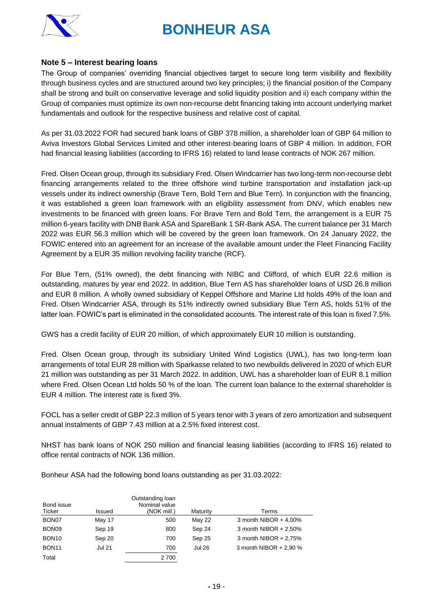

### **Note 5 – Interest bearing loans**

The Group of companies' overriding financial objectives target to secure long term visibility and flexibility through business cycles and are structured around two key principles; i) the financial position of the Company shall be strong and built on conservative leverage and solid liquidity position and ii) each company within the Group of companies must optimize its own non-recourse debt financing taking into account underlying market fundamentals and outlook for the respective business and relative cost of capital.

As per 31.03.2022 FOR had secured bank loans of GBP 378 million, a shareholder loan of GBP 64 million to Aviva Investors Global Services Limited and other interest-bearing loans of GBP 4 million. In addition, FOR had financial leasing liabilities (according to IFRS 16) related to land lease contracts of NOK 267 million.

Fred. Olsen Ocean group, through its subsidiary Fred. Olsen Windcarrier has two long-term non-recourse debt financing arrangements related to the three offshore wind turbine transportation and installation jack-up vessels under its indirect ownership (Brave Tern, Bold Tern and Blue Tern). In conjunction with the financing, it was established a green loan framework with an eligibility assessment from DNV, which enables new investments to be financed with green loans. For Brave Tern and Bold Tern, the arrangement is a EUR 75 million 6-years facility with DNB Bank ASA and SpareBank 1 SR-Bank ASA. The current balance per 31 March 2022 was EUR 56.3 million which will be covered by the green loan framework. On 24 January 2022, the FOWIC entered into an agreement for an increase of the available amount under the Fleet Financing Facility Agreement by a EUR 35 million revolving facility tranche (RCF).

For Blue Tern, (51% owned), the debt financing with NIBC and Clifford, of which EUR 22.6 million is outstanding, matures by year end 2022. In addition, Blue Tern AS has shareholder loans of USD 26.8 million and EUR 8 million. A wholly owned subsidiary of Keppel Offshore and Marine Ltd holds 49% of the loan and Fred. Olsen Windcarrier ASA, through its 51% indirectly owned subsidiary Blue Tern AS, holds 51% of the latter loan. FOWIC's part is eliminated in the consolidated accounts. The interest rate of this loan is fixed 7.5%.

GWS has a credit facility of EUR 20 million, of which approximately EUR 10 million is outstanding.

Fred. Olsen Ocean group, through its subsidiary United Wind Logistics (UWL), has two long-term loan arrangements of total EUR 28 million with Sparkasse related to two newbuilds delivered in 2020 of which EUR 21 million was outstanding as per 31 March 2022. In addition, UWL has a shareholder loan of EUR 8.1 million where Fred. Olsen Ocean Ltd holds 50 % of the loan. The current loan balance to the external shareholder is EUR 4 million. The interest rate is fixed 3%.

FOCL has a seller credit of GBP 22.3 million of 5 years tenor with 3 years of zero amortization and subsequent annual instalments of GBP 7.43 million at a 2.5% fixed interest cost.

NHST has bank loans of NOK 250 million and financial leasing liabilities (according to IFRS 16) related to office rental contracts of NOK 136 million.

Bonheur ASA had the following bond loans outstanding as per 31.03.2022:

| Bond issue<br>Ticker | Issued        | Outstanding loan<br>Nominal value<br>(NOK mill.) | Maturity      | Terms                    |
|----------------------|---------------|--------------------------------------------------|---------------|--------------------------|
| BON <sub>07</sub>    | May 17        | 500                                              | <b>May 22</b> | 3 month NIBOR $+$ 4,00%  |
| BON <sub>09</sub>    | Sep 19        | 800                                              | Sep 24        | 3 month NIBOR $+ 2.50\%$ |
| BON <sub>10</sub>    | Sep 20        | 700                                              | Sep 25        | 3 month NIBOR $+ 2.75%$  |
| BON <sub>11</sub>    | <b>Jul 21</b> | 700                                              | <b>Jul 26</b> | 3 month NIBOR + 2,90 %   |
| Total                |               | 2 700                                            |               |                          |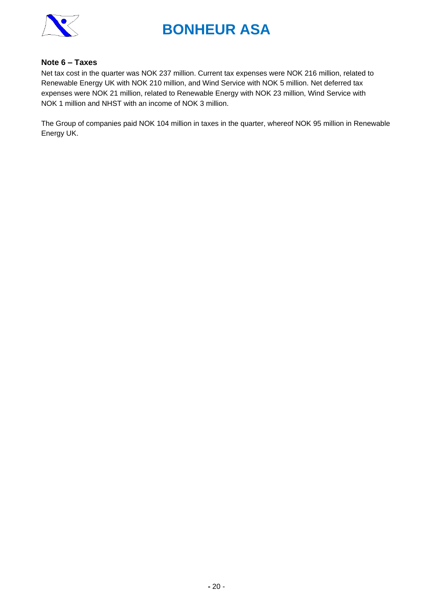

### **Note 6 – Taxes**

Net tax cost in the quarter was NOK 237 million. Current tax expenses were NOK 216 million, related to Renewable Energy UK with NOK 210 million, and Wind Service with NOK 5 million. Net deferred tax expenses were NOK 21 million, related to Renewable Energy with NOK 23 million, Wind Service with NOK 1 million and NHST with an income of NOK 3 million.

The Group of companies paid NOK 104 million in taxes in the quarter, whereof NOK 95 million in Renewable Energy UK.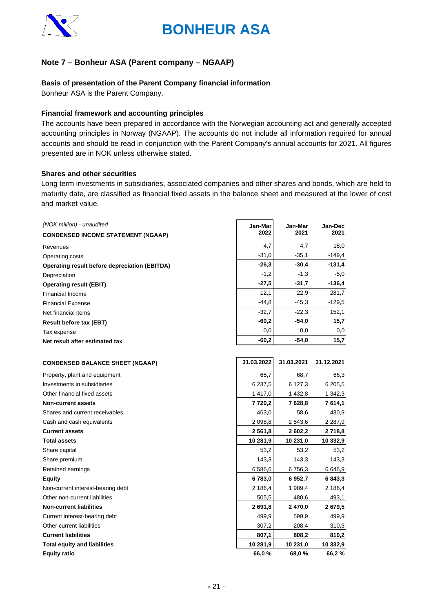

# **Note 7 – Bonheur ASA (Parent company – NGAAP)**

### **Basis of presentation of the Parent Company financial information**

Bonheur ASA is the Parent Company.

### **Financial framework and accounting principles**

The accounts have been prepared in accordance with the Norwegian accounting act and generally accepted accounting principles in Norway (NGAAP). The accounts do not include all information required for annual accounts and should be read in conjunction with the Parent Company's annual accounts for 2021. All figures presented are in NOK unless otherwise stated.

### **Shares and other securities**

Long term investments in subsidiaries, associated companies and other shares and bonds, which are held to maturity date, are classified as financial fixed assets in the balance sheet and measured at the lower of cost and market value.

| 2022<br>2021<br>2021<br><b>CONDENSED INCOME STATEMENT (NGAAP)</b><br>18,0<br>4,7<br>4,7<br>Revenues<br>$-31,0$<br>$-35,1$<br>$-149,4$<br>Operating costs<br>$-30,4$<br>$-131,4$<br>$-26,3$<br><b>Operating result before depreciation (EBITDA)</b><br>$-1,2$<br>$-1,3$<br>-5,0<br>Depreciation<br>$-27,5$<br>$-31,7$<br>$-136,4$<br><b>Operating result (EBIT)</b><br>281,7<br>12,1<br>22,9<br><b>Financial Income</b><br>$-44,8$<br>$-45,3$<br>$-129,5$<br><b>Financial Expense</b><br>$-32,7$<br>$-22,3$<br>152,1<br>Net financial items<br>$-60,2$<br>-54,0<br>15,7<br><b>Result before tax (EBT)</b><br>0,0<br>0,0<br>0,0<br>Tax expense<br>$-60,2$<br>$-54,0$<br>15,7<br>Net result after estimated tax<br>31.03.2022<br>31.03.2021<br>31.12.2021<br><b>CONDENSED BALANCE SHEET (NGAAP)</b><br>Property, plant and equipment<br>65,7<br>68,7<br>66,3<br>Investments in subsidiaries<br>6 2 3 7 , 5<br>6 127,3<br>6 205,5<br>Other financial fixed assets<br>1417,0<br>1 342,3<br>1 432,8<br><b>Non-current assets</b><br>7628,8<br>7614,1<br>7 7 20, 2<br>Shares and current receivables<br>463,0<br>58,6<br>430,9<br>Cash and cash equivalents<br>2 0 98,8<br>2 543,6<br>2 2 8 7, 9<br><b>Current assets</b><br>2 5 6 1 , 8<br>2 602.2<br>2 718,8<br><b>Total assets</b><br>10 281,9<br>10 231,0<br>10 332,9<br>Share capital<br>53,2<br>53,2<br>53,2<br>Share premium<br>143,3<br>143,3<br>143,3<br>Retained earnings<br>6 586,6<br>6756,3<br>6646,9<br>6783,0<br><b>Equity</b><br>6 952,7<br>6 843,3<br>2 186,4<br>2 186,4<br>Non-current interest-bearing debt<br>1989,4<br>Other non-current liabilities<br>505,5<br>480,6<br>493,1<br>2691,8<br>2679,5<br><b>Non-current liabilities</b><br>2470,0<br>499,9<br>Current interest-bearing debt<br>599,9<br>499,9<br>Other current liabilities<br>307,2<br>208,4<br>310,3<br><b>Current liabilities</b><br>807,1<br>808,2<br>810,2<br><b>Total equity and liabilities</b><br>10 281,9<br>10 231,0<br>10 332,9<br><b>Equity ratio</b><br>66,0 %<br>68,0 %<br>66,2 % | (NOK million) - unaudited | Jan-Mar | Jan-Mar | Jan-Dec |
|----------------------------------------------------------------------------------------------------------------------------------------------------------------------------------------------------------------------------------------------------------------------------------------------------------------------------------------------------------------------------------------------------------------------------------------------------------------------------------------------------------------------------------------------------------------------------------------------------------------------------------------------------------------------------------------------------------------------------------------------------------------------------------------------------------------------------------------------------------------------------------------------------------------------------------------------------------------------------------------------------------------------------------------------------------------------------------------------------------------------------------------------------------------------------------------------------------------------------------------------------------------------------------------------------------------------------------------------------------------------------------------------------------------------------------------------------------------------------------------------------------------------------------------------------------------------------------------------------------------------------------------------------------------------------------------------------------------------------------------------------------------------------------------------------------------------------------------------------------------------------------------------------------------------------------------------------------------------------------------------------------------------------|---------------------------|---------|---------|---------|
|                                                                                                                                                                                                                                                                                                                                                                                                                                                                                                                                                                                                                                                                                                                                                                                                                                                                                                                                                                                                                                                                                                                                                                                                                                                                                                                                                                                                                                                                                                                                                                                                                                                                                                                                                                                                                                                                                                                                                                                                                            |                           |         |         |         |
|                                                                                                                                                                                                                                                                                                                                                                                                                                                                                                                                                                                                                                                                                                                                                                                                                                                                                                                                                                                                                                                                                                                                                                                                                                                                                                                                                                                                                                                                                                                                                                                                                                                                                                                                                                                                                                                                                                                                                                                                                            |                           |         |         |         |
|                                                                                                                                                                                                                                                                                                                                                                                                                                                                                                                                                                                                                                                                                                                                                                                                                                                                                                                                                                                                                                                                                                                                                                                                                                                                                                                                                                                                                                                                                                                                                                                                                                                                                                                                                                                                                                                                                                                                                                                                                            |                           |         |         |         |
|                                                                                                                                                                                                                                                                                                                                                                                                                                                                                                                                                                                                                                                                                                                                                                                                                                                                                                                                                                                                                                                                                                                                                                                                                                                                                                                                                                                                                                                                                                                                                                                                                                                                                                                                                                                                                                                                                                                                                                                                                            |                           |         |         |         |
|                                                                                                                                                                                                                                                                                                                                                                                                                                                                                                                                                                                                                                                                                                                                                                                                                                                                                                                                                                                                                                                                                                                                                                                                                                                                                                                                                                                                                                                                                                                                                                                                                                                                                                                                                                                                                                                                                                                                                                                                                            |                           |         |         |         |
|                                                                                                                                                                                                                                                                                                                                                                                                                                                                                                                                                                                                                                                                                                                                                                                                                                                                                                                                                                                                                                                                                                                                                                                                                                                                                                                                                                                                                                                                                                                                                                                                                                                                                                                                                                                                                                                                                                                                                                                                                            |                           |         |         |         |
|                                                                                                                                                                                                                                                                                                                                                                                                                                                                                                                                                                                                                                                                                                                                                                                                                                                                                                                                                                                                                                                                                                                                                                                                                                                                                                                                                                                                                                                                                                                                                                                                                                                                                                                                                                                                                                                                                                                                                                                                                            |                           |         |         |         |
|                                                                                                                                                                                                                                                                                                                                                                                                                                                                                                                                                                                                                                                                                                                                                                                                                                                                                                                                                                                                                                                                                                                                                                                                                                                                                                                                                                                                                                                                                                                                                                                                                                                                                                                                                                                                                                                                                                                                                                                                                            |                           |         |         |         |
|                                                                                                                                                                                                                                                                                                                                                                                                                                                                                                                                                                                                                                                                                                                                                                                                                                                                                                                                                                                                                                                                                                                                                                                                                                                                                                                                                                                                                                                                                                                                                                                                                                                                                                                                                                                                                                                                                                                                                                                                                            |                           |         |         |         |
|                                                                                                                                                                                                                                                                                                                                                                                                                                                                                                                                                                                                                                                                                                                                                                                                                                                                                                                                                                                                                                                                                                                                                                                                                                                                                                                                                                                                                                                                                                                                                                                                                                                                                                                                                                                                                                                                                                                                                                                                                            |                           |         |         |         |
|                                                                                                                                                                                                                                                                                                                                                                                                                                                                                                                                                                                                                                                                                                                                                                                                                                                                                                                                                                                                                                                                                                                                                                                                                                                                                                                                                                                                                                                                                                                                                                                                                                                                                                                                                                                                                                                                                                                                                                                                                            |                           |         |         |         |
|                                                                                                                                                                                                                                                                                                                                                                                                                                                                                                                                                                                                                                                                                                                                                                                                                                                                                                                                                                                                                                                                                                                                                                                                                                                                                                                                                                                                                                                                                                                                                                                                                                                                                                                                                                                                                                                                                                                                                                                                                            |                           |         |         |         |
|                                                                                                                                                                                                                                                                                                                                                                                                                                                                                                                                                                                                                                                                                                                                                                                                                                                                                                                                                                                                                                                                                                                                                                                                                                                                                                                                                                                                                                                                                                                                                                                                                                                                                                                                                                                                                                                                                                                                                                                                                            |                           |         |         |         |
|                                                                                                                                                                                                                                                                                                                                                                                                                                                                                                                                                                                                                                                                                                                                                                                                                                                                                                                                                                                                                                                                                                                                                                                                                                                                                                                                                                                                                                                                                                                                                                                                                                                                                                                                                                                                                                                                                                                                                                                                                            |                           |         |         |         |
|                                                                                                                                                                                                                                                                                                                                                                                                                                                                                                                                                                                                                                                                                                                                                                                                                                                                                                                                                                                                                                                                                                                                                                                                                                                                                                                                                                                                                                                                                                                                                                                                                                                                                                                                                                                                                                                                                                                                                                                                                            |                           |         |         |         |
|                                                                                                                                                                                                                                                                                                                                                                                                                                                                                                                                                                                                                                                                                                                                                                                                                                                                                                                                                                                                                                                                                                                                                                                                                                                                                                                                                                                                                                                                                                                                                                                                                                                                                                                                                                                                                                                                                                                                                                                                                            |                           |         |         |         |
|                                                                                                                                                                                                                                                                                                                                                                                                                                                                                                                                                                                                                                                                                                                                                                                                                                                                                                                                                                                                                                                                                                                                                                                                                                                                                                                                                                                                                                                                                                                                                                                                                                                                                                                                                                                                                                                                                                                                                                                                                            |                           |         |         |         |
|                                                                                                                                                                                                                                                                                                                                                                                                                                                                                                                                                                                                                                                                                                                                                                                                                                                                                                                                                                                                                                                                                                                                                                                                                                                                                                                                                                                                                                                                                                                                                                                                                                                                                                                                                                                                                                                                                                                                                                                                                            |                           |         |         |         |
|                                                                                                                                                                                                                                                                                                                                                                                                                                                                                                                                                                                                                                                                                                                                                                                                                                                                                                                                                                                                                                                                                                                                                                                                                                                                                                                                                                                                                                                                                                                                                                                                                                                                                                                                                                                                                                                                                                                                                                                                                            |                           |         |         |         |
|                                                                                                                                                                                                                                                                                                                                                                                                                                                                                                                                                                                                                                                                                                                                                                                                                                                                                                                                                                                                                                                                                                                                                                                                                                                                                                                                                                                                                                                                                                                                                                                                                                                                                                                                                                                                                                                                                                                                                                                                                            |                           |         |         |         |
|                                                                                                                                                                                                                                                                                                                                                                                                                                                                                                                                                                                                                                                                                                                                                                                                                                                                                                                                                                                                                                                                                                                                                                                                                                                                                                                                                                                                                                                                                                                                                                                                                                                                                                                                                                                                                                                                                                                                                                                                                            |                           |         |         |         |
|                                                                                                                                                                                                                                                                                                                                                                                                                                                                                                                                                                                                                                                                                                                                                                                                                                                                                                                                                                                                                                                                                                                                                                                                                                                                                                                                                                                                                                                                                                                                                                                                                                                                                                                                                                                                                                                                                                                                                                                                                            |                           |         |         |         |
|                                                                                                                                                                                                                                                                                                                                                                                                                                                                                                                                                                                                                                                                                                                                                                                                                                                                                                                                                                                                                                                                                                                                                                                                                                                                                                                                                                                                                                                                                                                                                                                                                                                                                                                                                                                                                                                                                                                                                                                                                            |                           |         |         |         |
|                                                                                                                                                                                                                                                                                                                                                                                                                                                                                                                                                                                                                                                                                                                                                                                                                                                                                                                                                                                                                                                                                                                                                                                                                                                                                                                                                                                                                                                                                                                                                                                                                                                                                                                                                                                                                                                                                                                                                                                                                            |                           |         |         |         |
|                                                                                                                                                                                                                                                                                                                                                                                                                                                                                                                                                                                                                                                                                                                                                                                                                                                                                                                                                                                                                                                                                                                                                                                                                                                                                                                                                                                                                                                                                                                                                                                                                                                                                                                                                                                                                                                                                                                                                                                                                            |                           |         |         |         |
|                                                                                                                                                                                                                                                                                                                                                                                                                                                                                                                                                                                                                                                                                                                                                                                                                                                                                                                                                                                                                                                                                                                                                                                                                                                                                                                                                                                                                                                                                                                                                                                                                                                                                                                                                                                                                                                                                                                                                                                                                            |                           |         |         |         |
|                                                                                                                                                                                                                                                                                                                                                                                                                                                                                                                                                                                                                                                                                                                                                                                                                                                                                                                                                                                                                                                                                                                                                                                                                                                                                                                                                                                                                                                                                                                                                                                                                                                                                                                                                                                                                                                                                                                                                                                                                            |                           |         |         |         |
|                                                                                                                                                                                                                                                                                                                                                                                                                                                                                                                                                                                                                                                                                                                                                                                                                                                                                                                                                                                                                                                                                                                                                                                                                                                                                                                                                                                                                                                                                                                                                                                                                                                                                                                                                                                                                                                                                                                                                                                                                            |                           |         |         |         |
|                                                                                                                                                                                                                                                                                                                                                                                                                                                                                                                                                                                                                                                                                                                                                                                                                                                                                                                                                                                                                                                                                                                                                                                                                                                                                                                                                                                                                                                                                                                                                                                                                                                                                                                                                                                                                                                                                                                                                                                                                            |                           |         |         |         |
|                                                                                                                                                                                                                                                                                                                                                                                                                                                                                                                                                                                                                                                                                                                                                                                                                                                                                                                                                                                                                                                                                                                                                                                                                                                                                                                                                                                                                                                                                                                                                                                                                                                                                                                                                                                                                                                                                                                                                                                                                            |                           |         |         |         |
|                                                                                                                                                                                                                                                                                                                                                                                                                                                                                                                                                                                                                                                                                                                                                                                                                                                                                                                                                                                                                                                                                                                                                                                                                                                                                                                                                                                                                                                                                                                                                                                                                                                                                                                                                                                                                                                                                                                                                                                                                            |                           |         |         |         |
|                                                                                                                                                                                                                                                                                                                                                                                                                                                                                                                                                                                                                                                                                                                                                                                                                                                                                                                                                                                                                                                                                                                                                                                                                                                                                                                                                                                                                                                                                                                                                                                                                                                                                                                                                                                                                                                                                                                                                                                                                            |                           |         |         |         |
|                                                                                                                                                                                                                                                                                                                                                                                                                                                                                                                                                                                                                                                                                                                                                                                                                                                                                                                                                                                                                                                                                                                                                                                                                                                                                                                                                                                                                                                                                                                                                                                                                                                                                                                                                                                                                                                                                                                                                                                                                            |                           |         |         |         |
|                                                                                                                                                                                                                                                                                                                                                                                                                                                                                                                                                                                                                                                                                                                                                                                                                                                                                                                                                                                                                                                                                                                                                                                                                                                                                                                                                                                                                                                                                                                                                                                                                                                                                                                                                                                                                                                                                                                                                                                                                            |                           |         |         |         |
|                                                                                                                                                                                                                                                                                                                                                                                                                                                                                                                                                                                                                                                                                                                                                                                                                                                                                                                                                                                                                                                                                                                                                                                                                                                                                                                                                                                                                                                                                                                                                                                                                                                                                                                                                                                                                                                                                                                                                                                                                            |                           |         |         |         |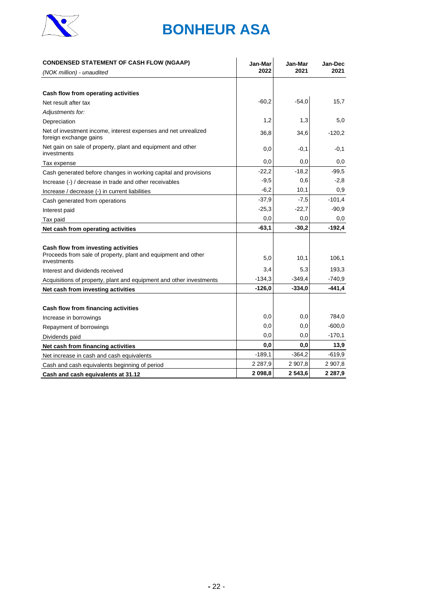

| <b>CONDENSED STATEMENT OF CASH FLOW (NGAAP)</b>                                                                     | Jan-Mar<br>2022 | Jan-Mar<br>2021 | <b>Jan-Dec</b><br>2021 |
|---------------------------------------------------------------------------------------------------------------------|-----------------|-----------------|------------------------|
| (NOK million) - unaudited                                                                                           |                 |                 |                        |
|                                                                                                                     |                 |                 |                        |
| Cash flow from operating activities                                                                                 |                 |                 |                        |
| Net result after tax                                                                                                | $-60,2$         | $-54,0$         | 15,7                   |
| Adjustments for:                                                                                                    |                 |                 |                        |
| Depreciation                                                                                                        | 1,2             | 1,3             | 5,0                    |
| Net of investment income, interest expenses and net unrealized<br>foreign exchange gains                            | 36,8            | 34,6            | $-120,2$               |
| Net gain on sale of property, plant and equipment and other<br>investments                                          | 0,0             | $-0,1$          | $-0,1$                 |
| Tax expense                                                                                                         | 0,0             | 0,0             | 0,0                    |
| Cash generated before changes in working capital and provisions                                                     | $-22,2$         | $-18,2$         | $-99.5$                |
| Increase (-) / decrease in trade and other receivables                                                              | $-9,5$          | 0,6             | $-2,8$                 |
| Increase / decrease (-) in current liabilities                                                                      | $-6,2$          | 10,1            | 0,9                    |
| Cash generated from operations                                                                                      | $-37,9$         | $-7,5$          | $-101,4$               |
| Interest paid                                                                                                       | $-25,3$         | $-22.7$         | $-90,9$                |
| Tax paid                                                                                                            | 0,0             | 0,0             | 0,0                    |
| Net cash from operating activities                                                                                  | $-63,1$         | $-30,2$         | $-192,4$               |
|                                                                                                                     |                 |                 |                        |
| Cash flow from investing activities<br>Proceeds from sale of property, plant and equipment and other<br>investments | 5,0             | 10,1            | 106,1                  |
| Interest and dividends received                                                                                     | 3,4             | 5,3             | 193,3                  |
| Acquisitions of property, plant and equipment and other investments                                                 | $-134,3$        | $-349,4$        | -740,9                 |
| Net cash from investing activities                                                                                  | $-126,0$        | $-334.0$        | $-441,4$               |
|                                                                                                                     |                 |                 |                        |
| Cash flow from financing activities                                                                                 |                 |                 |                        |
| Increase in borrowings                                                                                              | 0,0             | 0,0             | 784,0                  |
| Repayment of borrowings                                                                                             | 0,0             | 0,0             | $-600,0$               |
| Dividends paid                                                                                                      | 0,0             | 0,0             | $-170,1$               |
| Net cash from financing activities                                                                                  | 0,0             | 0,0             | 13,9                   |
| Net increase in cash and cash equivalents                                                                           | $-189,1$        | $-364,2$        | $-619,9$               |
| Cash and cash equivalents beginning of period                                                                       | 2 2 8 7,9       | 2 907,8         | 2 907,8                |
| Cash and cash equivalents at 31.12                                                                                  | 2 098,8         | 2 543,6         | 2 2 8 7,9              |